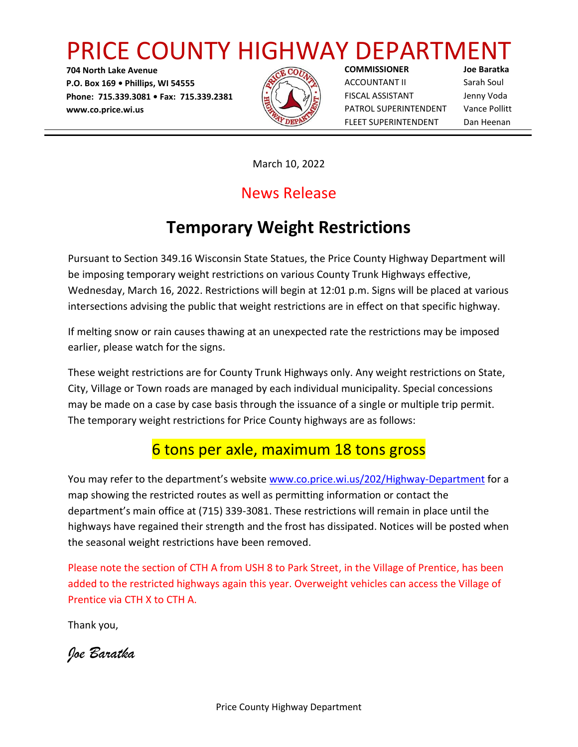# PRICE COUNTY HIGHWAY DEPARTMENT

**704 North Lake Avenue P.O. Box 169 • Phillips, WI 54555 Phone: 715.339.3081 • Fax: 715.339.2381 www.co.price.wi.us**



**COMMISSIONER Joe Baratka** ACCOUNTANT II Sarah Soul FISCAL ASSISTANT Jenny Voda PATROL SUPERINTENDENT Vance Pollitt FLEET SUPERINTENDENT Dan Heenan

March 10, 2022

## News Release

## **Temporary Weight Restrictions**

Pursuant to Section 349.16 Wisconsin State Statues, the Price County Highway Department will be imposing temporary weight restrictions on various County Trunk Highways effective, Wednesday, March 16, 2022. Restrictions will begin at 12:01 p.m. Signs will be placed at various intersections advising the public that weight restrictions are in effect on that specific highway.

If melting snow or rain causes thawing at an unexpected rate the restrictions may be imposed earlier, please watch for the signs.

These weight restrictions are for County Trunk Highways only. Any weight restrictions on State, City, Village or Town roads are managed by each individual municipality. Special concessions may be made on a case by case basis through the issuance of a single or multiple trip permit. The temporary weight restrictions for Price County highways are as follows:

## 6 tons per axle, maximum 18 tons gross

You may refer to the department's website [www.co.price.wi.us/202/Highway-Department](http://www.co.price.wi.us/202/Highway-Department) for a map showing the restricted routes as well as permitting information or contact the department's main office at (715) 339-3081. These restrictions will remain in place until the highways have regained their strength and the frost has dissipated. Notices will be posted when the seasonal weight restrictions have been removed.

Please note the section of CTH A from USH 8 to Park Street, in the Village of Prentice, has been added to the restricted highways again this year. Overweight vehicles can access the Village of Prentice via CTH X to CTH A.

Thank you,

*Joe Baratka*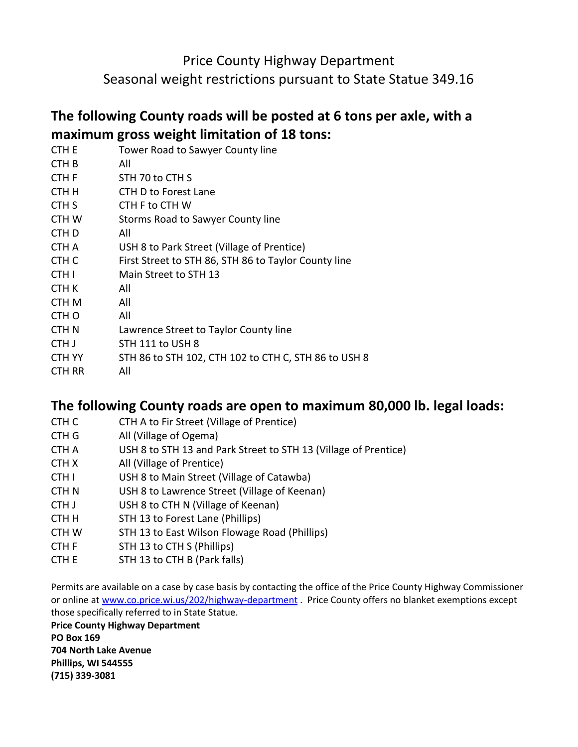### Price County Highway Department

Seasonal weight restrictions pursuant to State Statue 349.16

#### **The following County roads will be posted at 6 tons per axle, with a maximum gross weight limitation of 18 tons:**

|                  | $P^{\text{1}}$                                       |
|------------------|------------------------------------------------------|
| CTH E            | Tower Road to Sawyer County line                     |
| CTH <sub>B</sub> | All                                                  |
| CTH <sub>F</sub> | STH 70 to CTH S                                      |
| CTH H            | CTH D to Forest Lane                                 |
| CTH <sub>S</sub> | CTH F to CTH W                                       |
| <b>CTHW</b>      | Storms Road to Sawyer County line                    |
| CTH <sub>D</sub> | All                                                  |
| CTH A            | USH 8 to Park Street (Village of Prentice)           |
| CTH <sub>C</sub> | First Street to STH 86, STH 86 to Taylor County line |
| CTH <sub>I</sub> | Main Street to STH 13                                |
| CTH K            | All                                                  |
| CTH <sub>M</sub> | All                                                  |
| CTH <sub>O</sub> | All                                                  |
| <b>CTHN</b>      | Lawrence Street to Taylor County line                |
| CTH J            | STH 111 to USH 8                                     |
| <b>CTH YY</b>    | STH 86 to STH 102, CTH 102 to CTH C, STH 86 to USH 8 |
| CTH RR           | All                                                  |

#### **The following County roads are open to maximum 80,000 lb. legal loads:**

- CTH C CTH A to Fir Street (Village of Prentice)
- CTH G All (Village of Ogema)
- CTH A USH 8 to STH 13 and Park Street to STH 13 (Village of Prentice)
- CTH X All (Village of Prentice)
- CTH I USH 8 to Main Street (Village of Catawba)
- CTH N USH 8 to Lawrence Street (Village of Keenan)
- CTH J USH 8 to CTH N (Village of Keenan)
- CTH H STH 13 to Forest Lane (Phillips)
- CTH W STH 13 to East Wilson Flowage Road (Phillips)
- CTH F STH 13 to CTH S (Phillips)
- CTH E STH 13 to CTH B (Park falls)

Permits are available on a case by case basis by contacting the office of the Price County Highway Commissioner or online at [www.co.price.wi.us/202/highway-department](http://www.co.price.wi.us/202/highway-department) . Price County offers no blanket exemptions except those specifically referred to in State Statue.

**Price County Highway Department PO Box 169 704 North Lake Avenue Phillips, WI 544555 (715) 339-3081**